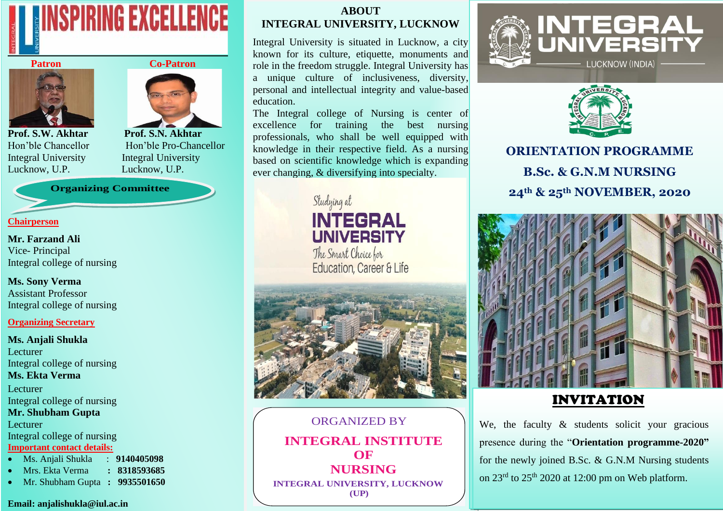



Prof. S.W. Akhtar Prof. S.N. Akhtar Lucknow, U.P. Lucknow, U.P.



Hon'ble Chancellor Hon'ble Pro-Chancellor Integral University Integral University

**Organizing Committee**

## **Chairperson**

**Mr. Farzand Ali** Vice- Principal Integral college of nursing

**Ms. Sony Verma**  Assistant Professor Integral college of nursing

## **Organizing Secretary**

**Ms. Anjali Shukla**  Lecturer Integral college of nursing **Ms. Ekta Verma**  Lecturer Integral college of nursing **Mr. Shubham Gupta** Lecturer Integral college of nursing **Important contact details:** 

- Ms. Anjali Shukla : **9140405098**
- Mrs. Ekta Verma **: 8318593685**
- Mr. Shubham Gupta **: 9935501650**

#### **Email: anjalishukla@iul.ac.in**

## **ABOUT INTEGRAL UNIVERSITY, LUCKNOW**

Integral University is situated in Lucknow, a city known for its culture, etiquette, monuments and role in the freedom struggle. Integral University has a unique culture of inclusiveness, diversity, personal and intellectual integrity and value-based education.

based on scientific knowledge which is expanding The Integral college of Nursing is center of excellence for training the best nursing professionals, who shall be well equipped with knowledge in their respective field. As a nursing ever changing, & diversifying into specialty.





ORGANIZED BY **INTEGRAL INSTITUTE OF NURSING INTEGRAL UNIVERSITY, LUCKNOW (UP)**





**ORIENTATION PROGRAMME B.Sc. & G.N.M NURSING 24th & 25th NOVEMBER, 2020**



# INVITATION

We, the faculty & students solicit your gracious presence during the "**Orientation programme-2020"** for the newly joined B.Sc. & G.N.M Nursing students on  $23^{\text{rd}}$  to  $25^{\text{th}}$  2020 at 12:00 pm on Web platform.